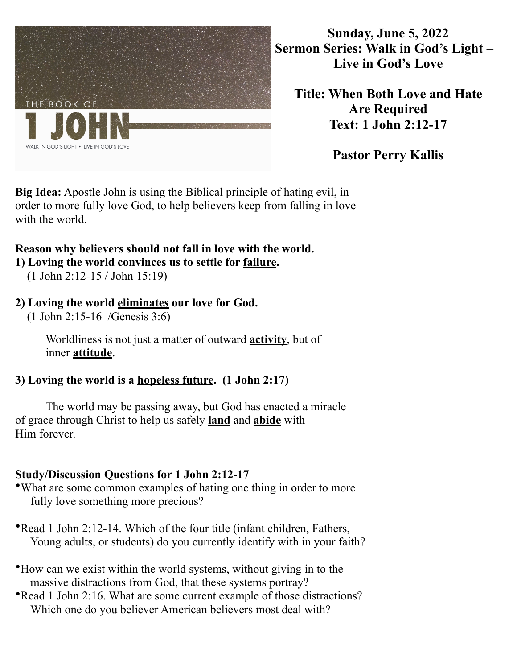

**Sunday, June 5, 2022 Sermon Series: Walk in God's Light – Live in God's Love** 

**Title: When Both Love and Hate Are Required Text: 1 John 2:12-17** 

**Pastor Perry Kallis** 

**Big Idea:** Apostle John is using the Biblical principle of hating evil, in order to more fully love God, to help believers keep from falling in love with the world.

## **Reason why believers should not fall in love with the world.**

**1) Loving the world convinces us to settle for failure.** 

(1 John 2:12-15 / John 15:19)

## **2) Loving the world eliminates our love for God.**

(1 John 2:15-16 /Genesis 3:6)

 Worldliness is not just a matter of outward **activity**, but of inner **attitude**.

## **3) Loving the world is a hopeless future. (1 John 2:17)**

The world may be passing away, but God has enacted a miracle of grace through Christ to help us safely **land** and **abide** with Him forever*.*

## **Study/Discussion Questions for 1 John 2:12-17**

- •What are some common examples of hating one thing in order to more fully love something more precious?
- •Read 1 John 2:12-14. Which of the four title (infant children, Fathers, Young adults, or students) do you currently identify with in your faith?
- •How can we exist within the world systems, without giving in to the massive distractions from God, that these systems portray?
- •Read 1 John 2:16. What are some current example of those distractions? Which one do you believer American believers most deal with?